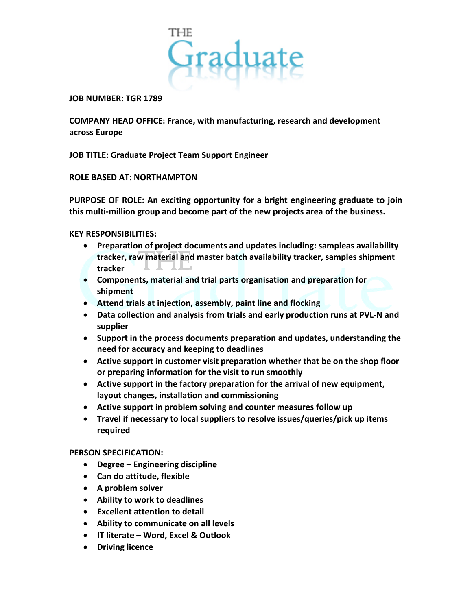

#### **JOB NUMBER: TGR 1789**

**COMPANY HEAD OFFICE: France, with manufacturing, research and development across Europe**

**JOB TITLE: Graduate Project Team Support Engineer**

# **ROLE BASED AT: NORTHAMPTON**

**PURPOSE OF ROLE: An exciting opportunity for a bright engineering graduate to join this multi-million group and become part of the new projects area of the business.**

# **KEY RESPONSIBILITIES:**

- **Preparation of project documents and updates including: sampleas availability tracker, raw material and master batch availability tracker, samples shipment tracker**
- **Components, material and trial parts organisation and preparation for shipment**
- **Attend trials at injection, assembly, paint line and flocking**
- **Data collection and analysis from trials and early production runs at PVL-N and supplier**
- **Support in the process documents preparation and updates, understanding the need for accuracy and keeping to deadlines**
- **Active support in customer visit preparation whether that be on the shop floor or preparing information for the visit to run smoothly**
- **Active support in the factory preparation for the arrival of new equipment, layout changes, installation and commissioning**
- **Active support in problem solving and counter measures follow up**
- **Travel if necessary to local suppliers to resolve issues/queries/pick up items required**

### **PERSON SPECIFICATION:**

- **Degree – Engineering discipline**
- **Can do attitude, flexible**
- **A problem solver**
- **Ability to work to deadlines**
- **Excellent attention to detail**
- **Ability to communicate on all levels**
- **IT literate – Word, Excel & Outlook**
- **Driving licence**